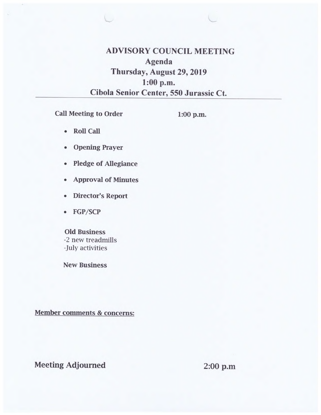**ADVISORY COUNCIL MEETING Agenda Thursday, August 29, 2019 1:00 p.m. Cibola Senior Center, 550 Jurassic Ct.** 

**Call Meeting to Order** 

**1:00 p.m.** 

- **Roll Call**
- **Opening Prayer**
- **Pledge of Allegiance**
- **Approval of Minutes**
- **Director's Report**
- **FGP/SCP**

# **Old Business**

-2 new treadmills -July activities

**New Business** 

**Member comments & concerns:** 

# **Meeting Adjourned 2:00 p.m**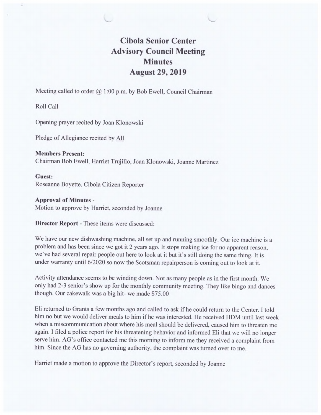# **Cibola Senior Center Advisory Council Meeting Minutes August 29, 2019**

Meeting called to order  $(a)$  1:00 p.m. by Bob Ewell, Council Chairman

Roll Call

Opening prayer recited by Joan Klonowski

Pledge of Allegiance recited by All

**Members Present:**  Chairman Bob Ewell, Harriet Trujillo, Joan Klonowski, Joanne Martinez

**Guest:**  Roseanne Boyette, Cibola Citizen Reporter

**Approval of Minutes** - Motion to approve by Harriet, seconded by Joanne

**Director Report -** These items were discussed:

We have our new dishwashing machine, all set up and running smoothly. Our ice machine is a problem and has been since we got it 2 years ago. It stops making ice for no apparent reason, we've had several repair people out here to look at it but it's still doing the same thing. It is under warranty until 6/2020 so now the Scotsman repairperson is coming out to look at it.

Activity attendance seems to be winding down. Not as many people as in the first month. We only had 2-3 senior's show up for the monthly community meeting. They like bingo and dances though. Our cakewalk was a big hit- we made \$75.00

Eli returned to Grants a few months ago and called to ask if he could return to the Center. I told him no but we would deliver meals to him if he was interested. He received HDM until last week when a miscommunication about where his meal should be delivered, caused him to threaten me again. I filed a police report for his threatening behavior and informed Eli that we will no longer serve him. AG's office contacted me this morning to inform me they received a complaint from him. Since the AG has no governing authority, the complaint was turned over to me.

Harriet made a motion to approve the Director's report, seconded by Joanne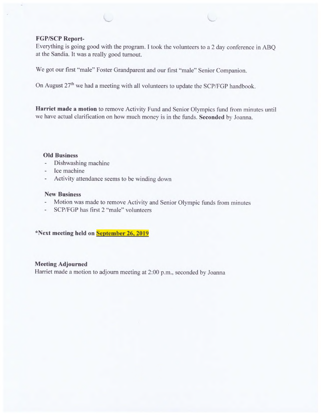## **FGP/SCP Report-**

**Everything is going good with the program. I** took the volunteers to a 2 day conference in ABQ **at the Sandia. It was a really good turnout.** 

We got our **first "male" Foster Grandparent and our first "male" Senior** Companion.

**On August 27thwe had a meeting with all volunteers to update the SCP/FGP handbook.** 

**Harriet made a motion to remove Activity Fund and Senior Olympics fund from minutes until we have actual clarification on how much money is in the funds. Seconded by Joanna.** 

#### **Old Business**

- $\overline{\phantom{a}}$ **Dishwashing machine**
- **Ice machine**
- **Activity attendance seems** to be winding down  $\overline{\phantom{m}}$

## **New Business**

- **Motion was made to remove Activity and Senior Olympic** funds from minutes
- **SCP/FGP has first 2 "male" volunteers**

**\*Next meeting held on September 26, 2019** 

### **Meeting Adjourned**

**Harriet made a motion to adjourn meeting at 2:00** p.m.. seconded by Joanna